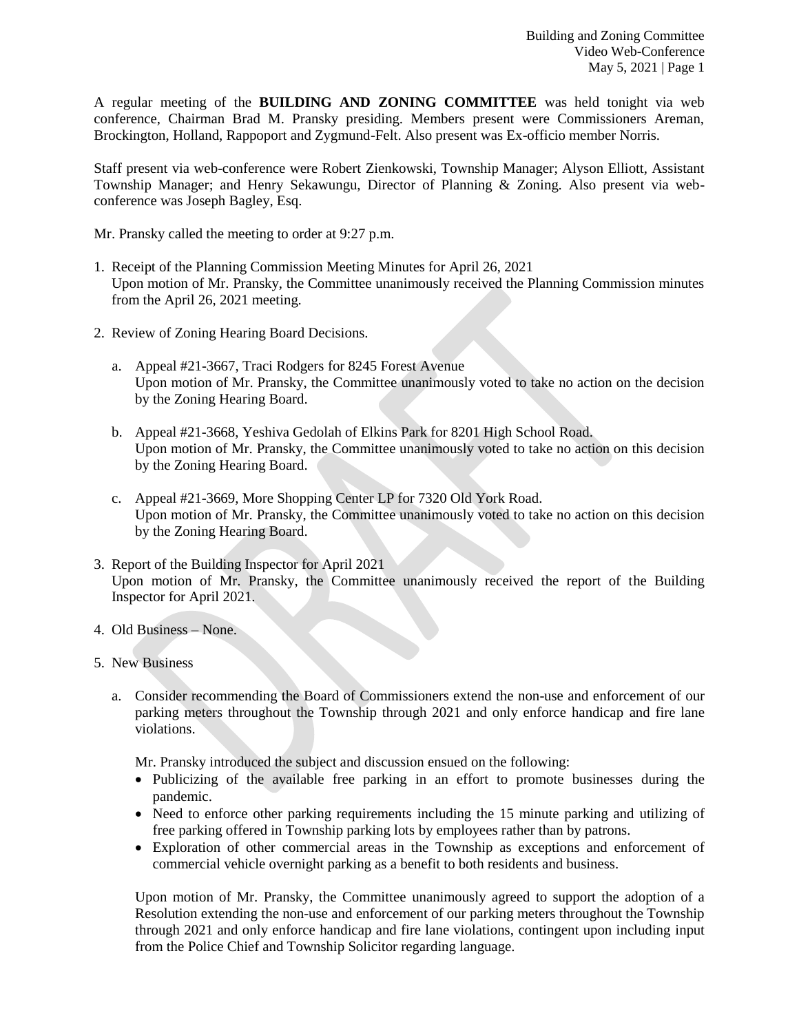A regular meeting of the **BUILDING AND ZONING COMMITTEE** was held tonight via web conference, Chairman Brad M. Pransky presiding. Members present were Commissioners Areman, Brockington, Holland, Rappoport and Zygmund-Felt. Also present was Ex-officio member Norris.

Staff present via web-conference were Robert Zienkowski, Township Manager; Alyson Elliott, Assistant Township Manager; and Henry Sekawungu, Director of Planning & Zoning. Also present via webconference was Joseph Bagley, Esq.

Mr. Pransky called the meeting to order at 9:27 p.m.

- 1. Receipt of the Planning Commission Meeting Minutes for April 26, 2021 Upon motion of Mr. Pransky, the Committee unanimously received the Planning Commission minutes from the April 26, 2021 meeting.
- 2. Review of Zoning Hearing Board Decisions.
	- a. Appeal #21-3667, Traci Rodgers for 8245 Forest Avenue Upon motion of Mr. Pransky, the Committee unanimously voted to take no action on the decision by the Zoning Hearing Board.
	- b. Appeal #21-3668, Yeshiva Gedolah of Elkins Park for 8201 High School Road. Upon motion of Mr. Pransky, the Committee unanimously voted to take no action on this decision by the Zoning Hearing Board.
	- c. Appeal #21-3669, More Shopping Center LP for 7320 Old York Road. Upon motion of Mr. Pransky, the Committee unanimously voted to take no action on this decision by the Zoning Hearing Board.
- 3. Report of the Building Inspector for April 2021 Upon motion of Mr. Pransky, the Committee unanimously received the report of the Building Inspector for April 2021.
- 4. Old Business None.
- 5. New Business
	- a. Consider recommending the Board of Commissioners extend the non-use and enforcement of our parking meters throughout the Township through 2021 and only enforce handicap and fire lane violations.

Mr. Pransky introduced the subject and discussion ensued on the following:

- Publicizing of the available free parking in an effort to promote businesses during the pandemic.
- Need to enforce other parking requirements including the 15 minute parking and utilizing of free parking offered in Township parking lots by employees rather than by patrons.
- Exploration of other commercial areas in the Township as exceptions and enforcement of commercial vehicle overnight parking as a benefit to both residents and business.

Upon motion of Mr. Pransky, the Committee unanimously agreed to support the adoption of a Resolution extending the non-use and enforcement of our parking meters throughout the Township through 2021 and only enforce handicap and fire lane violations, contingent upon including input from the Police Chief and Township Solicitor regarding language.